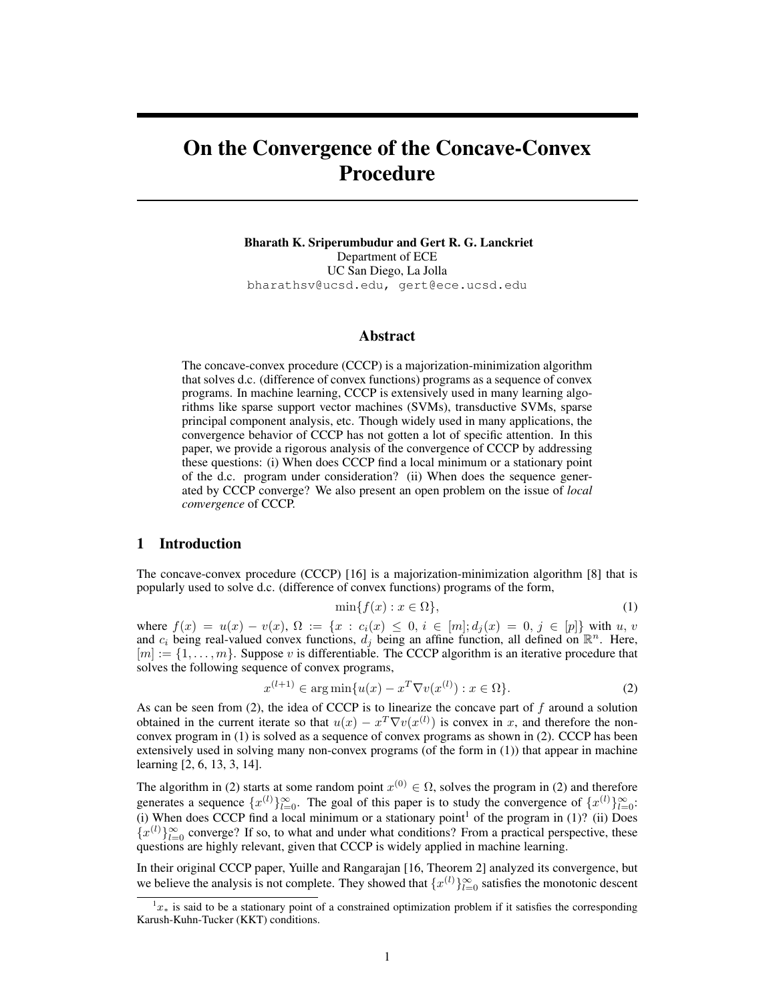# On the Convergence of the Concave-Convex Procedure

Bharath K. Sriperumbudur and Gert R. G. Lanckriet Department of ECE UC San Diego, La Jolla bharathsv@ucsd.edu, gert@ece.ucsd.edu

#### Abstract

The concave-convex procedure (CCCP) is a majorization-minimization algorithm that solves d.c. (difference of convex functions) programs as a sequence of convex programs. In machine learning, CCCP is extensively used in many learning algorithms like sparse support vector machines (SVMs), transductive SVMs, sparse principal component analysis, etc. Though widely used in many applications, the convergence behavior of CCCP has not gotten a lot of specific attention. In this paper, we provide a rigorous analysis of the convergence of CCCP by addressing these questions: (i) When does CCCP find a local minimum or a stationary point of the d.c. program under consideration? (ii) When does the sequence generated by CCCP converge? We also present an open problem on the issue of *local convergence* of CCCP.

#### 1 Introduction

The concave-convex procedure (CCCP) [16] is a majorization-minimization algorithm [8] that is popularly used to solve d.c. (difference of convex functions) programs of the form,

$$
\min\{f(x) : x \in \Omega\},\tag{1}
$$

where  $f(x) = u(x) - v(x)$ ,  $\Omega := \{x : c_i(x) \leq 0, i \in [m]; d_i(x) = 0, j \in [p]\}$  with u, v and  $c_i$  being real-valued convex functions,  $d_j$  being an affine function, all defined on  $\mathbb{R}^n$ . Here,  $[m] := \{1, \ldots, m\}$ . Suppose v is differentiable. The CCCP algorithm is an iterative procedure that solves the following sequence of convex programs,

$$
x^{(l+1)} \in \arg\min\{u(x) - x^T \nabla v(x^{(l)}) : x \in \Omega\}.
$$
 (2)

As can be seen from  $(2)$ , the idea of CCCP is to linearize the concave part of f around a solution obtained in the current iterate so that  $u(x) - x^T \nabla v(x^{(l)})$  is convex in x, and therefore the nonconvex program in (1) is solved as a sequence of convex programs as shown in (2). CCCP has been extensively used in solving many non-convex programs (of the form in (1)) that appear in machine learning [2, 6, 13, 3, 14].

The algorithm in (2) starts at some random point  $x^{(0)} \in \Omega$ , solves the program in (2) and therefore generates a sequence  $\{x^{(l)}\}_{l=0}^{\infty}$ . The goal of this paper is to study the convergence of  $\{x^{(l)}\}_{l=0}^{\infty}$ . (i) When does CCCP find a local minimum or a stationary point<sup>1</sup> of the program in (1)? (ii) Does  ${x<sup>(l)</sup>}_{l=0}^{\infty}$  converge? If so, to what and under what conditions? From a practical perspective, these questions are highly relevant, given that CCCP is widely applied in machine learning.

In their original CCCP paper, Yuille and Rangarajan [16, Theorem 2] analyzed its convergence, but we believe the analysis is not complete. They showed that  $\{x^{(l)}\}_{l=0}^{\infty}$  satisfies the monotonic descent

 $1x∗$  is said to be a stationary point of a constrained optimization problem if it satisfies the corresponding Karush-Kuhn-Tucker (KKT) conditions.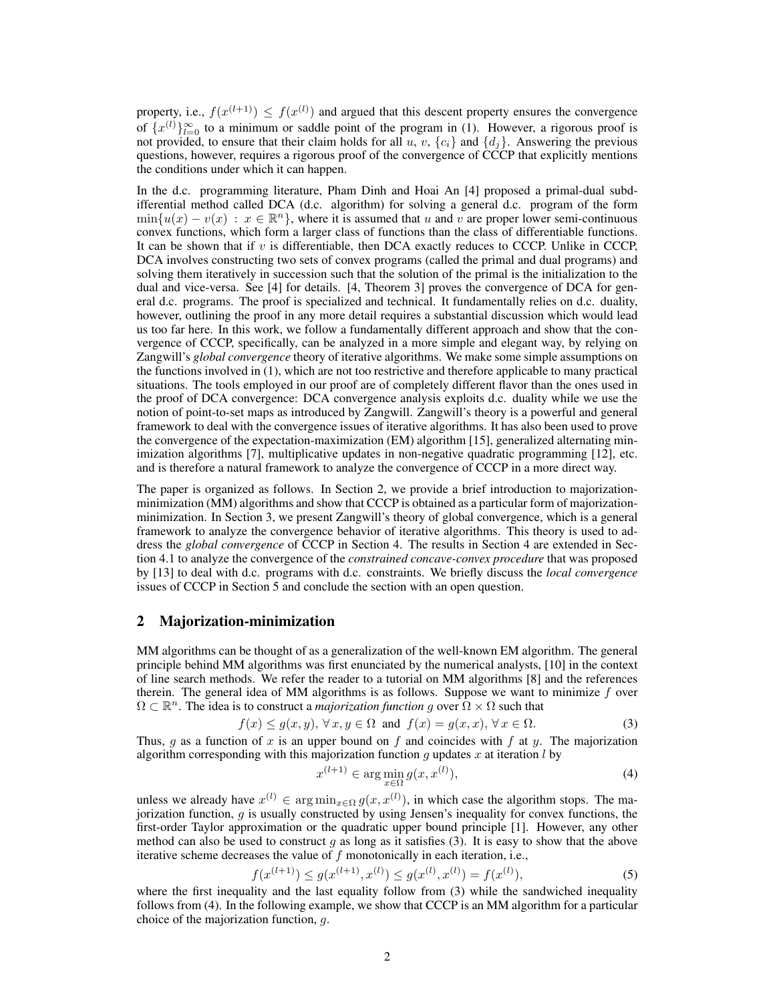property, i.e.,  $f(x^{(l+1)}) \leq f(x^{(l)})$  and argued that this descent property ensures the convergence of  $\{x^{(l)}\}_{l=0}^{\infty}$  to a minimum or saddle point of the program in (1). However, a rigorous proof is not provided, to ensure that their claim holds for all u, v,  ${c_i}$  and  ${d_i}$ . Answering the previous questions, however, requires a rigorous proof of the convergence of CCCP that explicitly mentions the conditions under which it can happen.

In the d.c. programming literature, Pham Dinh and Hoai An [4] proposed a primal-dual subdifferential method called DCA (d.c. algorithm) for solving a general d.c. program of the form  $\min\{u(x) - v(x) : x \in \mathbb{R}^n\}$ , where it is assumed that u and v are proper lower semi-continuous convex functions, which form a larger class of functions than the class of differentiable functions. It can be shown that if  $v$  is differentiable, then DCA exactly reduces to CCCP. Unlike in CCCP, DCA involves constructing two sets of convex programs (called the primal and dual programs) and solving them iteratively in succession such that the solution of the primal is the initialization to the dual and vice-versa. See [4] for details. [4, Theorem 3] proves the convergence of DCA for general d.c. programs. The proof is specialized and technical. It fundamentally relies on d.c. duality, however, outlining the proof in any more detail requires a substantial discussion which would lead us too far here. In this work, we follow a fundamentally different approach and show that the convergence of CCCP, specifically, can be analyzed in a more simple and elegant way, by relying on Zangwill's *global convergence* theory of iterative algorithms. We make some simple assumptions on the functions involved in (1), which are not too restrictive and therefore applicable to many practical situations. The tools employed in our proof are of completely different flavor than the ones used in the proof of DCA convergence: DCA convergence analysis exploits d.c. duality while we use the notion of point-to-set maps as introduced by Zangwill. Zangwill's theory is a powerful and general framework to deal with the convergence issues of iterative algorithms. It has also been used to prove the convergence of the expectation-maximization (EM) algorithm [15], generalized alternating minimization algorithms [7], multiplicative updates in non-negative quadratic programming [12], etc. and is therefore a natural framework to analyze the convergence of CCCP in a more direct way.

The paper is organized as follows. In Section 2, we provide a brief introduction to majorizationminimization (MM) algorithms and show that CCCP is obtained as a particular form of majorizationminimization. In Section 3, we present Zangwill's theory of global convergence, which is a general framework to analyze the convergence behavior of iterative algorithms. This theory is used to address the *global convergence* of CCCP in Section 4. The results in Section 4 are extended in Section 4.1 to analyze the convergence of the *constrained concave-convex procedure* that was proposed by [13] to deal with d.c. programs with d.c. constraints. We briefly discuss the *local convergence* issues of CCCP in Section 5 and conclude the section with an open question.

#### 2 Majorization-minimization

MM algorithms can be thought of as a generalization of the well-known EM algorithm. The general principle behind MM algorithms was first enunciated by the numerical analysts, [10] in the context of line search methods. We refer the reader to a tutorial on MM algorithms [8] and the references therein. The general idea of MM algorithms is as follows. Suppose we want to minimize  $f$  over  $\Omega \subset \mathbb{R}^n$ . The idea is to construct a *majorization function g* over  $\Omega \times \Omega$  such that

$$
f(x) \le g(x, y), \forall x, y \in \Omega \text{ and } f(x) = g(x, x), \forall x \in \Omega.
$$
 (3)

Thus, q as a function of x is an upper bound on f and coincides with f at y. The majorization algorithm corresponding with this majorization function g updates x at iteration  $l$  by

$$
x^{(l+1)} \in \arg\min_{x \in \Omega} g(x, x^{(l)}),\tag{4}
$$

unless we already have  $x^{(l)} \in \arg \min_{x \in \Omega} g(x, x^{(l)})$ , in which case the algorithm stops. The majorization function,  $g$  is usually constructed by using Jensen's inequality for convex functions, the first-order Taylor approximation or the quadratic upper bound principle [1]. However, any other method can also be used to construct  $g$  as long as it satisfies (3). It is easy to show that the above iterative scheme decreases the value of  $f$  monotonically in each iteration, i.e.,

$$
f(x^{(l+1)}) \le g(x^{(l+1)}, x^{(l)}) \le g(x^{(l)}, x^{(l)}) = f(x^{(l)}),
$$
\n(5)

where the first inequality and the last equality follow from (3) while the sandwiched inequality follows from (4). In the following example, we show that CCCP is an MM algorithm for a particular choice of the majorization function, g.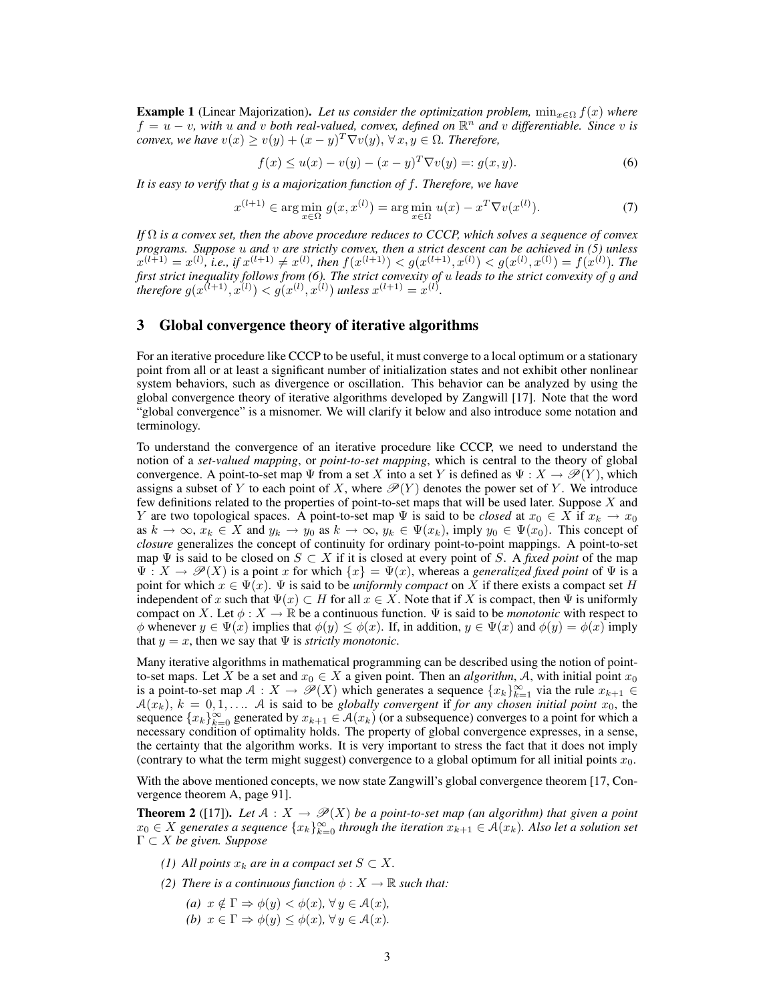**Example 1** (Linear Majorization). Let us consider the optimization problem,  $\min_{x \in \Omega} f(x)$  where  $f = u - v$ , with u and v both real-valued, convex, defined on  $\mathbb{R}^n$  and v differentiable. Since v is *convex, we have*  $v(x) \ge v(y) + (x - y)^T \nabla v(y)$ ,  $\forall x, y \in \Omega$ . Therefore,

$$
f(x) \le u(x) - v(y) - (x - y)^T \nabla v(y) =: g(x, y).
$$
 (6)

*It is easy to verify that* g *is a majorization function of* f*. Therefore, we have*

$$
x^{(l+1)} \in \arg\min_{x \in \Omega} g(x, x^{(l)}) = \arg\min_{x \in \Omega} u(x) - x^T \nabla v(x^{(l)}).
$$
 (7)

*If* Ω *is a convex set, then the above procedure reduces to CCCP, which solves a sequence of convex programs. Suppose* u *and* v *are strictly convex, then a strict descent can be achieved in (5) unless*  $f(x^{(l+1)} = x^{(l)}$ , *i.e.*, if  $x^{(l+1)} \neq x^{(l)}$ , then  $f(x^{(l+1)}) < g(x^{(l+1)}, x^{(l)}) < g(x^{(l)}, x^{(l)}) = f(x^{(l)})$ . The *first strict inequality follows from (6). The strict convexity of* u *leads to the strict convexity of* g *and therefore*  $g(x^{(l+1)}, x^{(l)}) < g(x^{(l)}, x^{(l)})$  *unless*  $x^{(l+1)} = x^{(l)}$ *.* 

## 3 Global convergence theory of iterative algorithms

For an iterative procedure like CCCP to be useful, it must converge to a local optimum or a stationary point from all or at least a significant number of initialization states and not exhibit other nonlinear system behaviors, such as divergence or oscillation. This behavior can be analyzed by using the global convergence theory of iterative algorithms developed by Zangwill [17]. Note that the word "global convergence" is a misnomer. We will clarify it below and also introduce some notation and terminology.

To understand the convergence of an iterative procedure like CCCP, we need to understand the notion of a *set-valued mapping*, or *point-to-set mapping*, which is central to the theory of global convergence. A point-to-set map  $\Psi$  from a set X into a set Y is defined as  $\Psi : X \to \mathscr{P}(Y)$ , which assigns a subset of Y to each point of X, where  $\mathcal{P}(Y)$  denotes the power set of Y. We introduce few definitions related to the properties of point-to-set maps that will be used later. Suppose  $X$  and Y are two topological spaces. A point-to-set map  $\Psi$  is said to be *closed* at  $x_0 \in X$  if  $x_k \to x_0$ as  $k \to \infty$ ,  $x_k \in X$  and  $y_k \to y_0$  as  $k \to \infty$ ,  $y_k \in \Psi(x_k)$ , imply  $y_0 \in \Psi(x_0)$ . This concept of *closure* generalizes the concept of continuity for ordinary point-to-point mappings. A point-to-set map  $\Psi$  is said to be closed on  $S \subset X$  if it is closed at every point of S. A *fixed point* of the map  $\Psi: X \to \mathscr{P}(X)$  is a point x for which  $\{x\} = \Psi(x)$ , whereas a *generalized fixed point* of  $\Psi$  is a point for which  $x \in \Psi(x)$ .  $\Psi$  is said to be *uniformly compact* on X if there exists a compact set H independent of x such that  $\Psi(x) \subset H$  for all  $x \in X$ . Note that if X is compact, then  $\Psi$  is uniformly compact on X. Let  $\phi: X \to \mathbb{R}$  be a continuous function.  $\Psi$  is said to be *monotonic* with respect to  $\phi$  whenever  $y \in \Psi(x)$  implies that  $\phi(y) \leq \phi(x)$ . If, in addition,  $y \in \Psi(x)$  and  $\phi(y) = \phi(x)$  imply that  $y = x$ , then we say that  $\Psi$  is *strictly monotonic*.

Many iterative algorithms in mathematical programming can be described using the notion of pointto-set maps. Let X be a set and  $x_0 \in X$  a given point. Then an *algorithm*, A, with initial point  $x_0$ is a point-to-set map  $A: X \to \mathscr{P}(X)$  which generates a sequence  $\{x_k\}_{k=1}^{\infty}$  via the rule  $x_{k+1} \in$  $A(x_k)$ ,  $k = 0, 1, \ldots$  A is said to be *globally convergent* if *for any chosen initial point*  $x_0$ , the sequence  $\{x_k\}_{k=0}^{\infty}$  generated by  $x_{k+1} \in \mathcal{A}(x_k)$  (or a subsequence) converges to a point for which a necessary condition of optimality holds. The property of global convergence expresses, in a sense, the certainty that the algorithm works. It is very important to stress the fact that it does not imply (contrary to what the term might suggest) convergence to a global optimum for all initial points  $x_0$ .

With the above mentioned concepts, we now state Zangwill's global convergence theorem [17, Convergence theorem A, page 91].

**Theorem 2** ([17]). Let  $A: X \to \mathcal{P}(X)$  be a point-to-set map (an algorithm) that given a point  $x_0 \in X$  generates a sequence  $\{x_k\}_{k=0}^\infty$  through the iteration  $x_{k+1} \in \mathcal{A}(x_k)$ . Also let a solution set Γ ⊂ X *be given. Suppose*

- *(1) All points*  $x_k$  *are in a compact set*  $S \subset X$ *.*
- *(2) There is a continuous function*  $\phi: X \to \mathbb{R}$  *such that:* 
	- *(a)*  $x \notin \Gamma \Rightarrow \phi(y) < \phi(x), \forall y \in \mathcal{A}(x)$ , *(b)*  $x \in \Gamma \Rightarrow \phi(y) \leq \phi(x)$ ,  $\forall y \in \mathcal{A}(x)$ .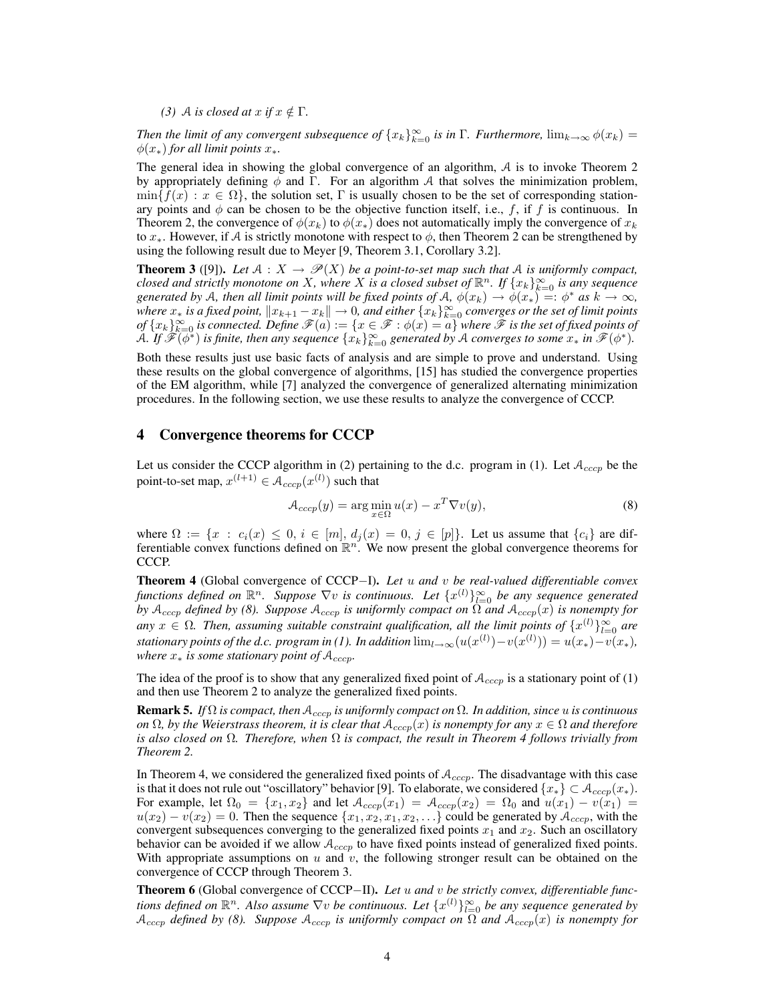*(3) A is closed at*  $x$  *if*  $x \notin \Gamma$ *.* 

*Then the limit of any convergent subsequence of*  ${x_k}_{k=0}^{\infty}$  *is in* Γ. *Furthermore*,  $\lim_{k\to\infty}\phi(x_k)$  =  $\phi(x_*)$  *for all limit points*  $x_*$ .

The general idea in showing the global convergence of an algorithm, A is to invoke Theorem 2 by appropriately defining  $\phi$  and Γ. For an algorithm A that solves the minimization problem,  $\min\{f(x): x \in \Omega\}$ , the solution set,  $\Gamma$  is usually chosen to be the set of corresponding stationary points and  $\phi$  can be chosen to be the objective function itself, i.e., f, if f is continuous. In Theorem 2, the convergence of  $\phi(x_k)$  to  $\phi(x_k)$  does not automatically imply the convergence of  $x_k$ to  $x<sub>*</sub>$ . However, if A is strictly monotone with respect to  $\phi$ , then Theorem 2 can be strengthened by using the following result due to Meyer [9, Theorem 3.1, Corollary 3.2].

**Theorem 3** ([9]). Let  $A : X \to \mathcal{P}(X)$  be a point-to-set map such that A is uniformly compact, *closed and strictly monotone on X, where X is a closed subset of*  $\mathbb{R}^n$ *. If*  $\{x_k\}_{k=0}^\infty$  *is any sequence generated by* A, then all limit points will be fixed points of A,  $\phi(x_k) \to \phi(x_*) =: \phi^*$  *as*  $k \to \infty$ , *where*  $x_*$  *is a fixed point,*  $\|x_{k+1} - x_k\| \to 0$ , and either  $\{x_k\}_{k=0}^\infty$  converges or the set of limit points  $of$   $\{x_k\}_{k=0}^\infty$  *is connected. Define*  $\mathscr{F}(a):=\{x\in\mathscr{F}:\phi(x)=a\}$  where  $\tilde{\mathscr{F}}$  *is the set of fixed points of*  $\hat{A}$ . If  $\hat{\mathscr{F}}(\phi^*)$  is finite, then any sequence  $\{x_k\}_{k=0}^{\infty}$  generated by A converges to some  $x_*$  in  $\hat{\mathscr{F}}(\phi^*)$ .

Both these results just use basic facts of analysis and are simple to prove and understand. Using these results on the global convergence of algorithms, [15] has studied the convergence properties of the EM algorithm, while [7] analyzed the convergence of generalized alternating minimization procedures. In the following section, we use these results to analyze the convergence of CCCP.

## 4 Convergence theorems for CCCP

Let us consider the CCCP algorithm in (2) pertaining to the d.c. program in (1). Let  $A_{cccp}$  be the point-to-set map,  $x^{(l+1)} \in A_{cccp}(x^{(l)})$  such that

$$
\mathcal{A}_{cccp}(y) = \arg\min_{x \in \Omega} u(x) - x^T \nabla v(y),\tag{8}
$$

where  $\Omega := \{x : c_i(x) \leq 0, i \in [m], d_j(x) = 0, j \in [p]\}.$  Let us assume that  $\{c_i\}$  are differentiable convex functions defined on  $\mathbb{R}^n$ . We now present the global convergence theorems for CCCP.

Theorem 4 (Global convergence of CCCP−I). *Let* u *and* v *be real-valued differentiable convex* functions defined on  $\mathbb{R}^n$ . Suppose  $\nabla v$  is continuous. Let  $\{x^{(l)}\}_{l=0}^{\infty}$  be any sequence generated *by*  $A_{cccp}$  *defined by* (8). Suppose  $A_{cccp}$  *is uniformly compact on*  $\Omega$  *and*  $A_{cccp}(x)$  *is nonempty for*  $a_n$  are  $\{x^{(l)}\}_{l=0}^{\infty}$  are an assuming suitable constraint qualification, all the limit points of  $\{x^{(l)}\}_{l=0}^{\infty}$  are *stationary points of the d.c. program in (1). In addition*  $\lim_{l\to\infty}(u(x^{(l)})-v(x^{(l)}))=u(x_*)-v(x_*)$ , *where*  $x_*$  *is some stationary point of*  $A_{cccp}$ *.* 

The idea of the proof is to show that any generalized fixed point of  $A_{cccp}$  is a stationary point of (1) and then use Theorem 2 to analyze the generalized fixed points.

Remark 5. *If* Ω *is compact, then* Acccp *is uniformly compact on* Ω*. In addition, since* u *is continuous on*  $\Omega$ *, by the Weierstrass theorem, it is clear that*  $A_{cccp}(x)$  *is nonempty for any*  $x \in \Omega$  *and therefore is also closed on* Ω*. Therefore, when* Ω *is compact, the result in Theorem 4 follows trivially from Theorem 2.*

In Theorem 4, we considered the generalized fixed points of  $A_{cccp}$ . The disadvantage with this case is that it does not rule out "oscillatory" behavior [9]. To elaborate, we considered  $\{x_*\} \subset \mathcal{A}_{cccp}(x_*)$ . For example, let  $\Omega_0 = \{x_1, x_2\}$  and let  $\mathcal{A}_{cccp}(x_1) = \mathcal{A}_{cccp}(x_2) = \Omega_0$  and  $u(x_1) - v(x_1) =$  $u(x_2) - v(x_2) = 0$ . Then the sequence  $\{x_1, x_2, x_1, x_2, \ldots\}$  could be generated by  $A_{cccp}$ , with the convergent subsequences converging to the generalized fixed points  $x_1$  and  $x_2$ . Such an oscillatory behavior can be avoided if we allow  $A_{cccp}$  to have fixed points instead of generalized fixed points. With appropriate assumptions on  $u$  and  $v$ , the following stronger result can be obtained on the convergence of CCCP through Theorem 3.

Theorem 6 (Global convergence of CCCP−II). *Let* u *and* v *be strictly convex, differentiable func*tions defined on  $\mathbb{R}^n$ . Also assume  $\nabla v$  be continuous. Let  $\{x^{(l)}\}_{l=0}^{\infty}$  be any sequence generated by  $A_{cccp}$  *defined by (8).* Suppose  $A_{cccp}$  *is uniformly compact on*  $\Omega$  *and*  $A_{cccp}(x)$  *is nonempty for*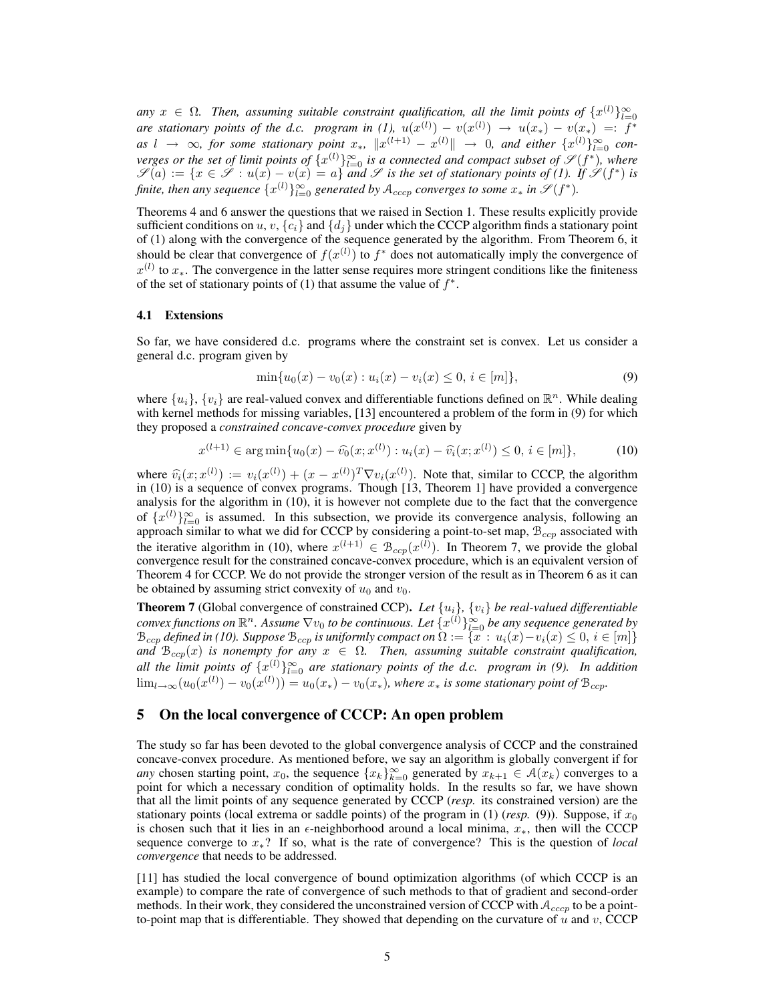any  $x \in \Omega$ . Then, assuming suitable constraint qualification, all the limit points of  $\{x^{(l)}\}_{l=0}^{\infty}$ *are stationary points of the d.c. program in (1),*  $u(x^{(l)}) - v(x^{(l)}) \rightarrow u(x_*) - v(x_*) =: f^*$  $as \, l \to \infty$ , for some stationary point  $x_*, \|x^{(l+1)} - x^{(l)}\| \to 0$ , and either  $\{x^{(l)}\}_{l=0}^{\infty}$  con*verges or the set of limit points of*  $\{x^{(l)}\}_{l=0}^{\infty}$  *is a connected and compact subset of*  $\mathscr{S}(f^*)$ *, where*  $\mathscr{S}(a) := \{x \in \mathscr{S} : u(x) - v(x) = a\}$  *and*  $\mathscr{S}$  *is the set of stationary points of (1). If*  $\mathscr{S}(f^*)$  *is* finite, then any sequence  $\{x^{(l)}\}_{l=0}^{\infty}$  generated by  $A_{cccp}$  converges to some  $x_*$  in  $\mathscr{S}(f^*)$ .

Theorems 4 and 6 answer the questions that we raised in Section 1. These results explicitly provide sufficient conditions on u, v,  ${c_i}$  and  ${d_i}$  under which the CCCP algorithm finds a stationary point of (1) along with the convergence of the sequence generated by the algorithm. From Theorem 6, it should be clear that convergence of  $f(x^{(l)})$  to  $f^*$  does not automatically imply the convergence of  $x^{(l)}$  to  $x_*$ . The convergence in the latter sense requires more stringent conditions like the finiteness of the set of stationary points of (1) that assume the value of  $f^*$ .

#### 4.1 Extensions

So far, we have considered d.c. programs where the constraint set is convex. Let us consider a general d.c. program given by

$$
\min\{u_0(x) - v_0(x) : u_i(x) - v_i(x) \le 0, \, i \in [m]\},\tag{9}
$$

where  $\{u_i\}$ ,  $\{v_i\}$  are real-valued convex and differentiable functions defined on  $\mathbb{R}^n$ . While dealing with kernel methods for missing variables, [13] encountered a problem of the form in (9) for which they proposed a *constrained concave-convex procedure* given by

$$
x^{(l+1)} \in \arg\min\{u_0(x) - \widehat{v_0}(x; x^{(l)}) : u_i(x) - \widehat{v_i}(x; x^{(l)}) \le 0, i \in [m]\},\tag{10}
$$

where  $\hat{v}_i(x; x^{(l)}) := v_i(x^{(l)}) + (x - x^{(l)})^T \nabla v_i(x^{(l)})$ . Note that, similar to CCCP, the algorithm in (10) is a sequence of convex programs. Though [13, Theorem 1] have provided a convergence analysis for the algorithm in (10), it is however not complete due to the fact that the convergence of  $\{x^{(l)}\}_{l=0}^{\infty}$  is assumed. In this subsection, we provide its convergence analysis, following an approach similar to what we did for CCCP by considering a point-to-set map,  $B_{ccp}$  associated with the iterative algorithm in (10), where  $x^{(l+1)} \in \mathcal{B}_{ccp}(x^{(l)})$ . In Theorem 7, we provide the global convergence result for the constrained concave-convex procedure, which is an equivalent version of Theorem 4 for CCCP. We do not provide the stronger version of the result as in Theorem 6 as it can be obtained by assuming strict convexity of  $u_0$  and  $v_0$ .

**Theorem 7** (Global convergence of constrained CCP). Let  $\{u_i\}$ ,  $\{v_i\}$  be real-valued differentiable convex functions on  $\mathbb{R}^n$ . Assume  $\nabla v_0$  to be continuous. Let  $\{x^{(l)}\}_{l=0}^\infty$  be any sequence generated by  $\mathcal{B}_{ccp}$  *defined in (10). Suppose*  $\mathcal{B}_{ccp}$  *is uniformly compact on*  $\Omega := \{x : u_i(x) - v_i(x) \leq 0, i \in [m]\}$ *and*  $B_{ccp}(x)$  *is nonempty for any*  $x \in \Omega$ . Then, assuming suitable constraint qualification, *all the limit points of*  $\{x^{(l)}\}_{l=0}^{\infty}$  *are stationary points of the d.c. program in (9). In addition*  $\lim_{l\to\infty}(u_0(x^{(l)})-v_0(x^{(l)}))=u_0(x_*)-v_0(x_*),$  where  $x_*$  is some stationary point of  $\mathcal{B}_{ccp}$ .

# 5 On the local convergence of CCCP: An open problem

The study so far has been devoted to the global convergence analysis of CCCP and the constrained concave-convex procedure. As mentioned before, we say an algorithm is globally convergent if for *any* chosen starting point,  $x_0$ , the sequence  $\{x_k\}_{k=0}^\infty$  generated by  $x_{k+1} \in \mathcal{A}(x_k)$  converges to a point for which a necessary condition of optimality holds. In the results so far, we have shown that all the limit points of any sequence generated by CCCP (*resp.* its constrained version) are the stationary points (local extrema or saddle points) of the program in  $(1)$  (*resp.* (9)). Suppose, if  $x_0$ is chosen such that it lies in an  $\epsilon$ -neighborhood around a local minima,  $x_*$ , then will the CCCP sequence converge to x∗? If so, what is the rate of convergence? This is the question of *local convergence* that needs to be addressed.

[11] has studied the local convergence of bound optimization algorithms (of which CCCP is an example) to compare the rate of convergence of such methods to that of gradient and second-order methods. In their work, they considered the unconstrained version of CCCP with  $A_{ccCD}$  to be a pointto-point map that is differentiable. They showed that depending on the curvature of u and v, CCCP